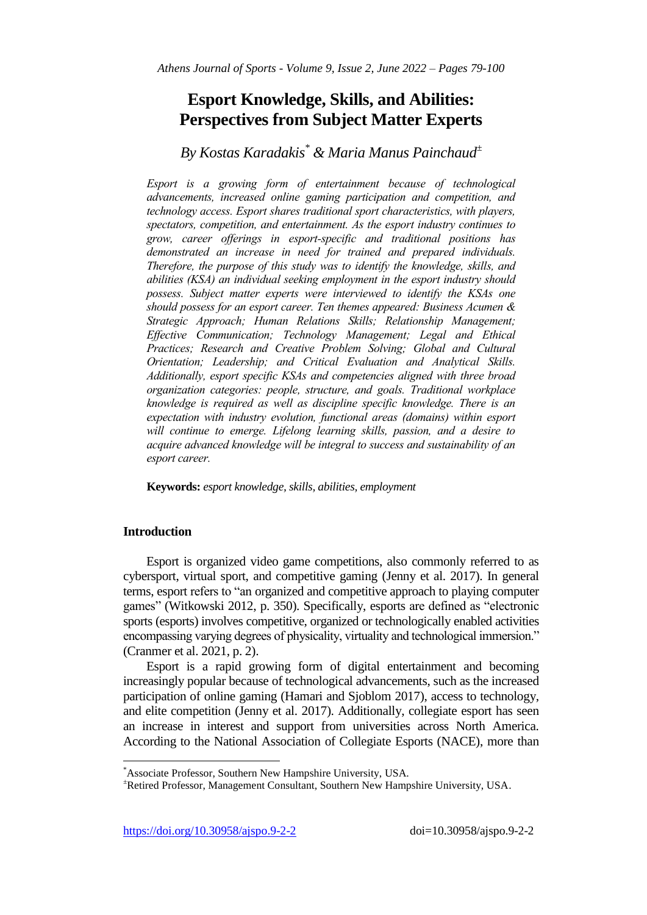# **Esport Knowledge, Skills, and Abilities: Perspectives from Subject Matter Experts**

## *By Kostas Karadakis\* & Maria Manus Painchaud<sup>±</sup>*

*Esport is a growing form of entertainment because of technological advancements, increased online gaming participation and competition, and technology access. Esport shares traditional sport characteristics, with players, spectators, competition, and entertainment. As the esport industry continues to grow, career offerings in esport-specific and traditional positions has demonstrated an increase in need for trained and prepared individuals. Therefore, the purpose of this study was to identify the knowledge, skills, and abilities (KSA) an individual seeking employment in the esport industry should possess. Subject matter experts were interviewed to identify the KSAs one should possess for an esport career. Ten themes appeared: Business Acumen & Strategic Approach; Human Relations Skills; Relationship Management; Effective Communication; Technology Management; Legal and Ethical Practices; Research and Creative Problem Solving; Global and Cultural Orientation; Leadership; and Critical Evaluation and Analytical Skills. Additionally, esport specific KSAs and competencies aligned with three broad organization categories: people, structure, and goals. Traditional workplace knowledge is required as well as discipline specific knowledge. There is an expectation with industry evolution, functional areas (domains) within esport*  will continue to emerge. Lifelong learning skills, passion, and a desire to *acquire advanced knowledge will be integral to success and sustainability of an esport career.*

**Keywords:** *esport knowledge, skills, abilities, employment*

## **Introduction**

 $\overline{\phantom{a}}$ 

Esport is organized video game competitions, also commonly referred to as cybersport, virtual sport, and competitive gaming (Jenny et al. 2017). In general terms, esport refers to "an organized and competitive approach to playing computer games" (Witkowski 2012, p. 350). Specifically, esports are defined as "electronic sports (esports) involves competitive, organized or technologically enabled activities encompassing varying degrees of physicality, virtuality and technological immersion." (Cranmer et al. 2021, p. 2).

Esport is a rapid growing form of digital entertainment and becoming increasingly popular because of technological advancements, such as the increased participation of online gaming (Hamari and Sjoblom 2017), access to technology, and elite competition (Jenny et al. 2017). Additionally, collegiate esport has seen an increase in interest and support from universities across North America. According to the National Association of Collegiate Esports (NACE), more than

<sup>\*</sup>Associate Professor, Southern New Hampshire University, USA.

<sup>±</sup>Retired Professor, Management Consultant, Southern New Hampshire University, USA.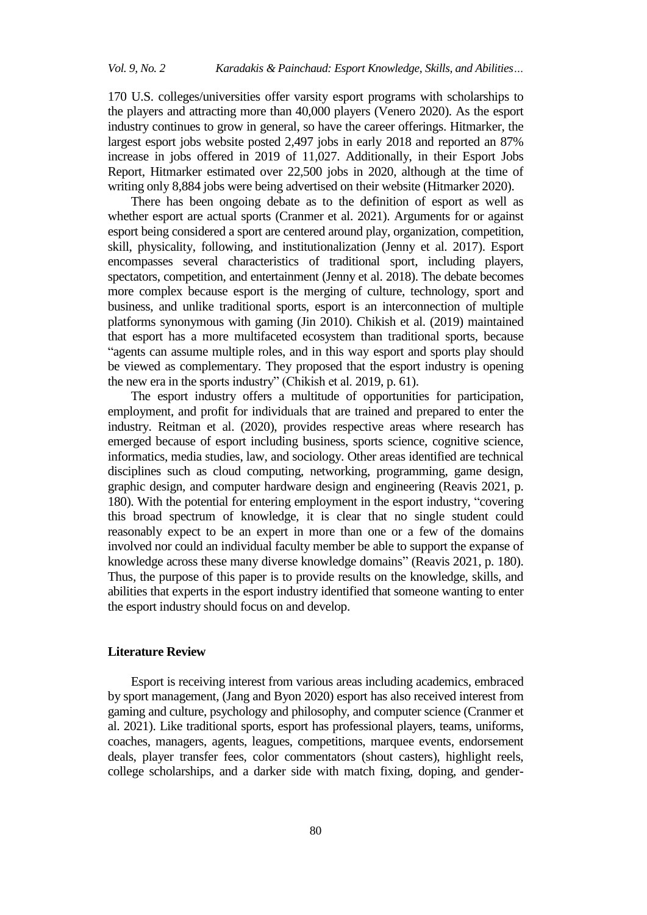170 U.S. colleges/universities offer varsity esport programs with scholarships to the players and attracting more than 40,000 players (Venero 2020). As the esport industry continues to grow in general, so have the career offerings. Hitmarker, the largest esport jobs website posted 2,497 jobs in early 2018 and reported an 87% increase in jobs offered in 2019 of 11,027. Additionally, in their Esport Jobs Report, Hitmarker estimated over 22,500 jobs in 2020, although at the time of writing only 8,884 jobs were being advertised on their website (Hitmarker 2020).

There has been ongoing debate as to the definition of esport as well as whether esport are actual sports (Cranmer et al. 2021). Arguments for or against esport being considered a sport are centered around play, organization, competition, skill, physicality, following, and institutionalization (Jenny et al. 2017). Esport encompasses several characteristics of traditional sport, including players, spectators, competition, and entertainment (Jenny et al. 2018). The debate becomes more complex because esport is the merging of culture, technology, sport and business, and unlike traditional sports, esport is an interconnection of multiple platforms synonymous with gaming (Jin 2010). Chikish et al. (2019) maintained that esport has a more multifaceted ecosystem than traditional sports, because "agents can assume multiple roles, and in this way esport and sports play should be viewed as complementary. They proposed that the esport industry is opening the new era in the sports industry" (Chikish et al. 2019, p. 61).

The esport industry offers a multitude of opportunities for participation, employment, and profit for individuals that are trained and prepared to enter the industry. Reitman et al. (2020), provides respective areas where research has emerged because of esport including business, sports science, cognitive science, informatics, media studies, law, and sociology. Other areas identified are technical disciplines such as cloud computing, networking, programming, game design, graphic design, and computer hardware design and engineering (Reavis 2021, p. 180). With the potential for entering employment in the esport industry, "covering this broad spectrum of knowledge, it is clear that no single student could reasonably expect to be an expert in more than one or a few of the domains involved nor could an individual faculty member be able to support the expanse of knowledge across these many diverse knowledge domains" (Reavis 2021, p. 180). Thus, the purpose of this paper is to provide results on the knowledge, skills, and abilities that experts in the esport industry identified that someone wanting to enter the esport industry should focus on and develop.

#### **Literature Review**

Esport is receiving interest from various areas including academics, embraced by sport management, (Jang and Byon 2020) esport has also received interest from gaming and culture, psychology and philosophy, and computer science (Cranmer et al. 2021). Like traditional sports, esport has professional players, teams, uniforms, coaches, managers, agents, leagues, competitions, marquee events, endorsement deals, player transfer fees, color commentators (shout casters), highlight reels, college scholarships, and a darker side with match fixing, doping, and gender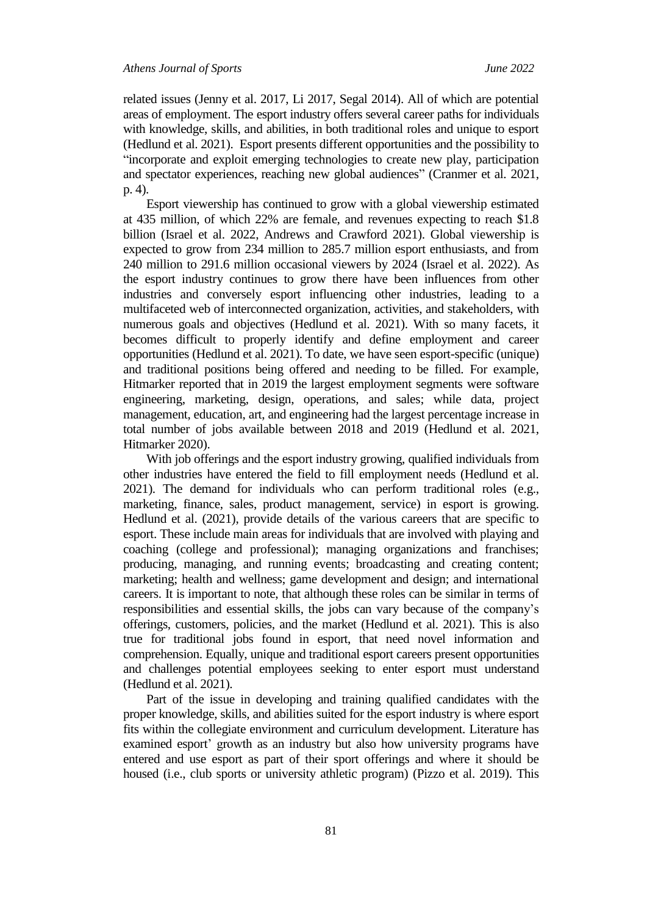related issues (Jenny et al. 2017, Li 2017, Segal 2014). All of which are potential areas of employment. The esport industry offers several career paths for individuals with knowledge, skills, and abilities, in both traditional roles and unique to esport (Hedlund et al. 2021). Esport presents different opportunities and the possibility to "incorporate and exploit emerging technologies to create new play, participation and spectator experiences, reaching new global audiences" (Cranmer et al. 2021, p. 4).

Esport viewership has continued to grow with a global viewership estimated at 435 million, of which 22% are female, and revenues expecting to reach \$1.8 billion (Israel et al. 2022, Andrews and Crawford 2021). Global viewership is expected to grow from 234 million to 285.7 million esport enthusiasts, and from 240 million to 291.6 million occasional viewers by 2024 (Israel et al. 2022). As the esport industry continues to grow there have been influences from other industries and conversely esport influencing other industries, leading to a multifaceted web of interconnected organization, activities, and stakeholders, with numerous goals and objectives (Hedlund et al. 2021). With so many facets, it becomes difficult to properly identify and define employment and career opportunities (Hedlund et al. 2021). To date, we have seen esport-specific (unique) and traditional positions being offered and needing to be filled. For example, Hitmarker reported that in 2019 the largest employment segments were software engineering, marketing, design, operations, and sales; while data, project management, education, art, and engineering had the largest percentage increase in total number of jobs available between 2018 and 2019 (Hedlund et al. 2021, Hitmarker 2020).

With job offerings and the esport industry growing, qualified individuals from other industries have entered the field to fill employment needs (Hedlund et al. 2021). The demand for individuals who can perform traditional roles (e.g., marketing, finance, sales, product management, service) in esport is growing. Hedlund et al. (2021), provide details of the various careers that are specific to esport. These include main areas for individuals that are involved with playing and coaching (college and professional); managing organizations and franchises; producing, managing, and running events; broadcasting and creating content; marketing; health and wellness; game development and design; and international careers. It is important to note, that although these roles can be similar in terms of responsibilities and essential skills, the jobs can vary because of the company's offerings, customers, policies, and the market (Hedlund et al. 2021). This is also true for traditional jobs found in esport, that need novel information and comprehension. Equally, unique and traditional esport careers present opportunities and challenges potential employees seeking to enter esport must understand (Hedlund et al. 2021).

Part of the issue in developing and training qualified candidates with the proper knowledge, skills, and abilities suited for the esport industry is where esport fits within the collegiate environment and curriculum development. Literature has examined esport' growth as an industry but also how university programs have entered and use esport as part of their sport offerings and where it should be housed (i.e., club sports or university athletic program) (Pizzo et al. 2019). This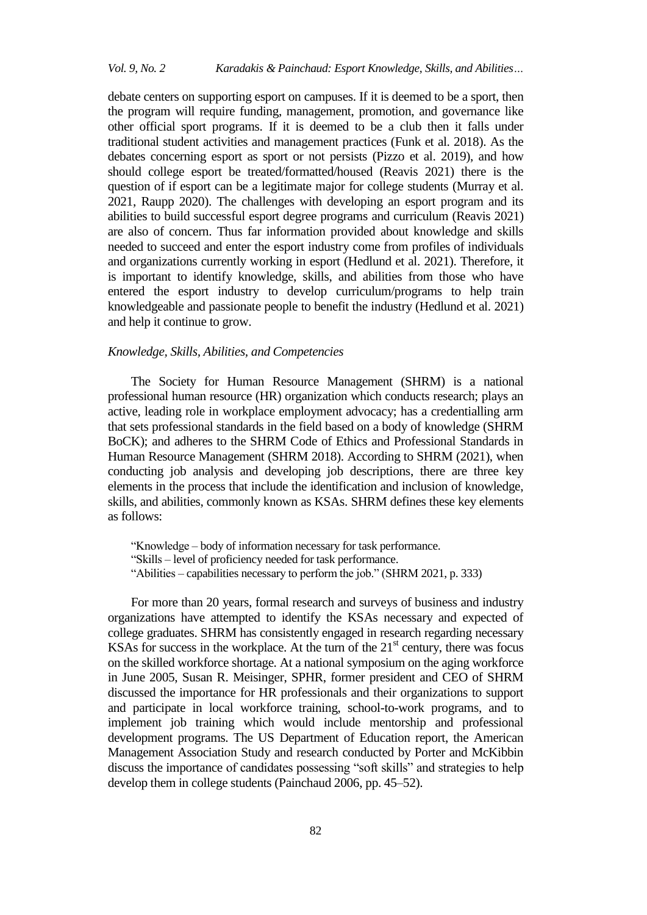## *Vol. 9, No. 2 Karadakis & Painchaud: Esport Knowledge, Skills, and Abilities…*

debate centers on supporting esport on campuses. If it is deemed to be a sport, then the program will require funding, management, promotion, and governance like other official sport programs. If it is deemed to be a club then it falls under traditional student activities and management practices (Funk et al. 2018). As the debates concerning esport as sport or not persists (Pizzo et al. 2019), and how should college esport be treated/formatted/housed (Reavis 2021) there is the question of if esport can be a legitimate major for college students (Murray et al. 2021, Raupp 2020). The challenges with developing an esport program and its abilities to build successful esport degree programs and curriculum (Reavis 2021) are also of concern. Thus far information provided about knowledge and skills needed to succeed and enter the esport industry come from profiles of individuals and organizations currently working in esport (Hedlund et al. 2021). Therefore, it is important to identify knowledge, skills, and abilities from those who have entered the esport industry to develop curriculum/programs to help train knowledgeable and passionate people to benefit the industry (Hedlund et al. 2021) and help it continue to grow.

#### *Knowledge, Skills, Abilities, and Competencies*

The Society for Human Resource Management (SHRM) is a national professional human resource (HR) organization which conducts research; plays an active, leading role in workplace employment advocacy; has a credentialling arm that sets professional standards in the field based on a body of knowledge (SHRM BoCK); and adheres to the SHRM Code of Ethics and Professional Standards in Human Resource Management (SHRM 2018). According to SHRM (2021), when conducting job analysis and developing job descriptions, there are three key elements in the process that include the identification and inclusion of knowledge, skills, and abilities, commonly known as KSAs. SHRM defines these key elements as follows:

"Knowledge – body of information necessary for task performance. "Skills – level of proficiency needed for task performance. "Abilities – capabilities necessary to perform the job." (SHRM 2021, p. 333)

For more than 20 years, formal research and surveys of business and industry organizations have attempted to identify the KSAs necessary and expected of college graduates. SHRM has consistently engaged in research regarding necessary KSAs for success in the workplace. At the turn of the  $21<sup>st</sup>$  century, there was focus on the skilled workforce shortage. At a national symposium on the aging workforce in June 2005, Susan R. Meisinger, SPHR, former president and CEO of SHRM discussed the importance for HR professionals and their organizations to support and participate in local workforce training, school-to-work programs, and to implement job training which would include mentorship and professional development programs. The US Department of Education report, the American Management Association Study and research conducted by Porter and McKibbin discuss the importance of candidates possessing "soft skills" and strategies to help develop them in college students (Painchaud 2006, pp. 45–52).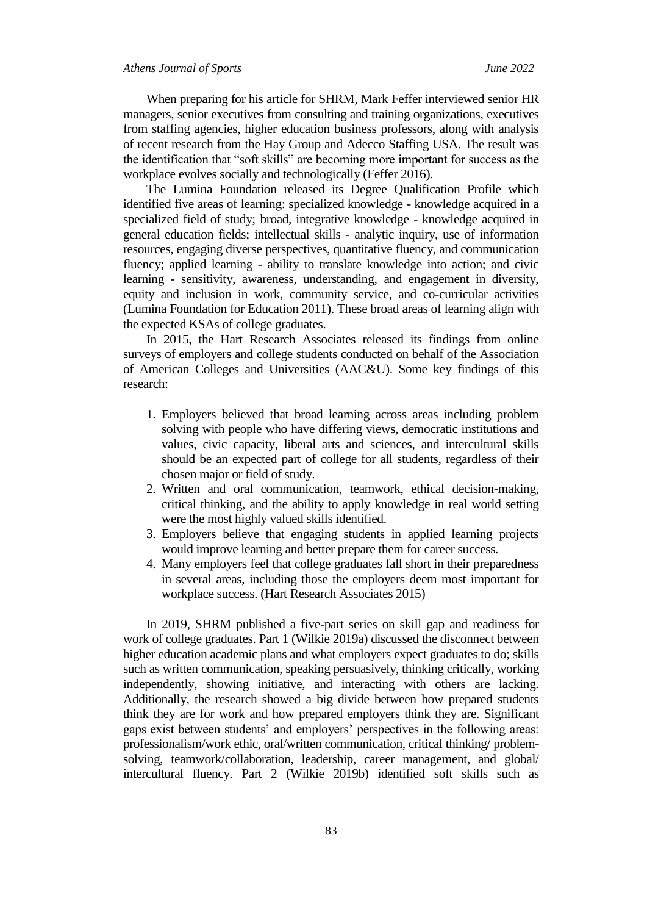When preparing for his article for SHRM, Mark Feffer interviewed senior HR managers, senior executives from consulting and training organizations, executives from staffing agencies, higher education business professors, along with analysis of recent research from the Hay Group and Adecco Staffing USA. The result was the identification that "soft skills" are becoming more important for success as the workplace evolves socially and technologically (Feffer 2016).

The Lumina Foundation released its Degree Qualification Profile which identified five areas of learning: specialized knowledge - knowledge acquired in a specialized field of study; broad, integrative knowledge - knowledge acquired in general education fields; intellectual skills - analytic inquiry, use of information resources, engaging diverse perspectives, quantitative fluency, and communication fluency; applied learning - ability to translate knowledge into action; and civic learning - sensitivity, awareness, understanding, and engagement in diversity, equity and inclusion in work, community service, and co-curricular activities (Lumina Foundation for Education 2011). These broad areas of learning align with the expected KSAs of college graduates.

In 2015, the Hart Research Associates released its findings from online surveys of employers and college students conducted on behalf of the Association of American Colleges and Universities (AAC&U). Some key findings of this research:

- 1. Employers believed that broad learning across areas including problem solving with people who have differing views, democratic institutions and values, civic capacity, liberal arts and sciences, and intercultural skills should be an expected part of college for all students, regardless of their chosen major or field of study.
- 2. Written and oral communication, teamwork, ethical decision-making, critical thinking, and the ability to apply knowledge in real world setting were the most highly valued skills identified.
- 3. Employers believe that engaging students in applied learning projects would improve learning and better prepare them for career success.
- 4. Many employers feel that college graduates fall short in their preparedness in several areas, including those the employers deem most important for workplace success. (Hart Research Associates 2015)

In 2019, SHRM published a five-part series on skill gap and readiness for work of college graduates. Part 1 (Wilkie 2019a) discussed the disconnect between higher education academic plans and what employers expect graduates to do; skills such as written communication, speaking persuasively, thinking critically, working independently, showing initiative, and interacting with others are lacking. Additionally, the research showed a big divide between how prepared students think they are for work and how prepared employers think they are. Significant gaps exist between students' and employers' perspectives in the following areas: professionalism/work ethic, oral/written communication, critical thinking/ problemsolving, teamwork/collaboration, leadership, career management, and global/ intercultural fluency. Part 2 (Wilkie 2019b) identified soft skills such as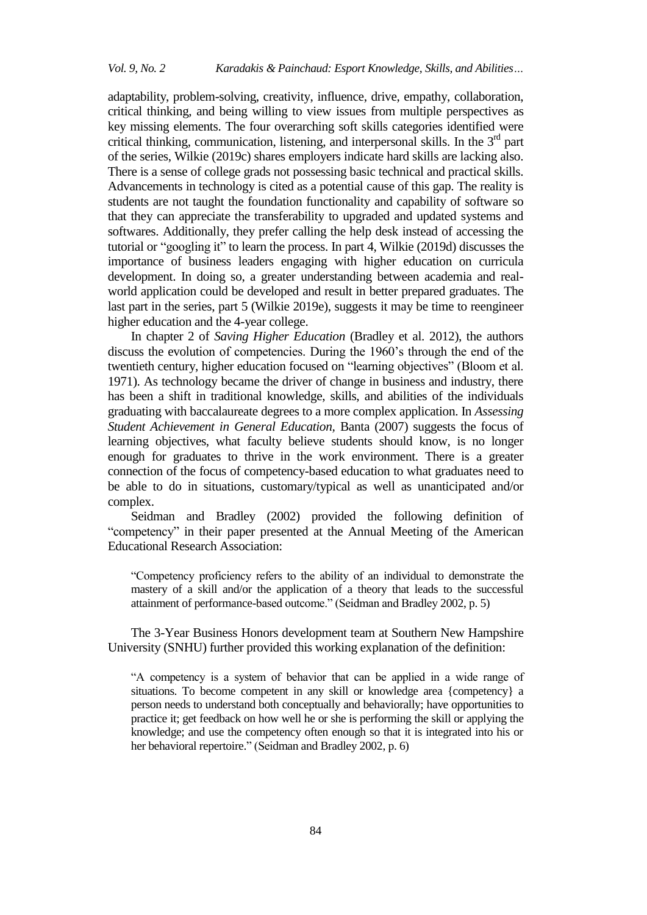adaptability, problem-solving, creativity, influence, drive, empathy, collaboration, critical thinking, and being willing to view issues from multiple perspectives as key missing elements. The four overarching soft skills categories identified were critical thinking, communication, listening, and interpersonal skills. In the  $3<sup>rd</sup>$  part of the series, Wilkie (2019c) shares employers indicate hard skills are lacking also. There is a sense of college grads not possessing basic technical and practical skills. Advancements in technology is cited as a potential cause of this gap. The reality is students are not taught the foundation functionality and capability of software so that they can appreciate the transferability to upgraded and updated systems and softwares. Additionally, they prefer calling the help desk instead of accessing the tutorial or "googling it" to learn the process. In part 4, Wilkie (2019d) discusses the importance of business leaders engaging with higher education on curricula development. In doing so, a greater understanding between academia and realworld application could be developed and result in better prepared graduates. The last part in the series, part 5 (Wilkie 2019e), suggests it may be time to reengineer higher education and the 4-year college.

In chapter 2 of *Saving Higher Education* (Bradley et al. 2012), the authors discuss the evolution of competencies. During the 1960's through the end of the twentieth century, higher education focused on "learning objectives" (Bloom et al. 1971). As technology became the driver of change in business and industry, there has been a shift in traditional knowledge, skills, and abilities of the individuals graduating with baccalaureate degrees to a more complex application. In *Assessing Student Achievement in General Education,* Banta (2007) suggests the focus of learning objectives, what faculty believe students should know, is no longer enough for graduates to thrive in the work environment. There is a greater connection of the focus of competency-based education to what graduates need to be able to do in situations, customary/typical as well as unanticipated and/or complex.

Seidman and Bradley (2002) provided the following definition of "competency" in their paper presented at the Annual Meeting of the American Educational Research Association:

"Competency proficiency refers to the ability of an individual to demonstrate the mastery of a skill and/or the application of a theory that leads to the successful attainment of performance-based outcome." (Seidman and Bradley 2002, p. 5)

The 3-Year Business Honors development team at Southern New Hampshire University (SNHU) further provided this working explanation of the definition:

"A competency is a system of behavior that can be applied in a wide range of situations. To become competent in any skill or knowledge area {competency} a person needs to understand both conceptually and behaviorally; have opportunities to practice it; get feedback on how well he or she is performing the skill or applying the knowledge; and use the competency often enough so that it is integrated into his or her behavioral repertoire." (Seidman and Bradley 2002, p. 6)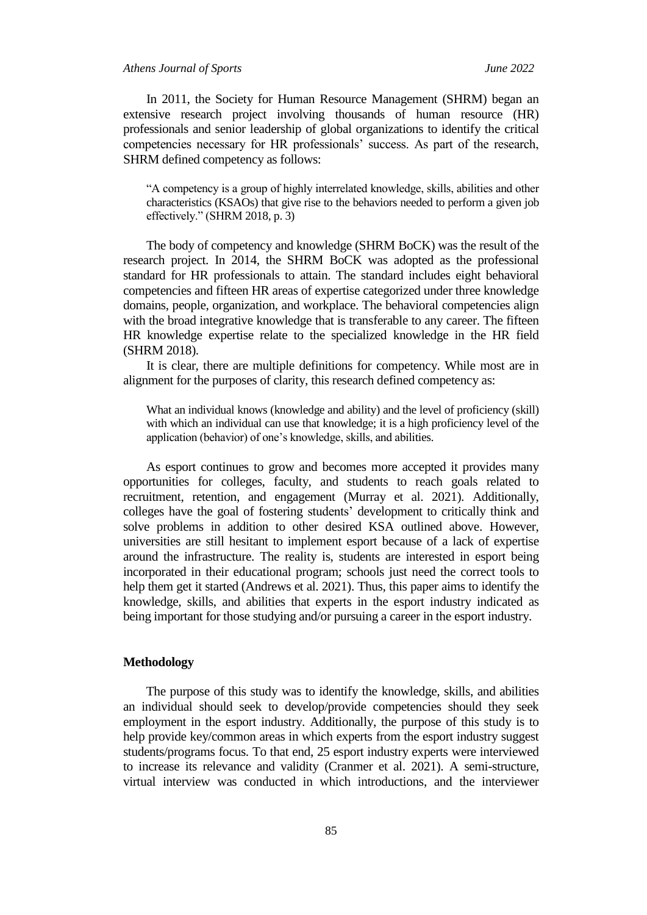#### *Athens Journal of Sports June 2022*

In 2011, the Society for Human Resource Management (SHRM) began an extensive research project involving thousands of human resource (HR) professionals and senior leadership of global organizations to identify the critical competencies necessary for HR professionals' success. As part of the research, SHRM defined competency as follows:

"A competency is a group of highly interrelated knowledge, skills, abilities and other characteristics (KSAOs) that give rise to the behaviors needed to perform a given job effectively." (SHRM 2018, p. 3)

The body of competency and knowledge (SHRM BoCK) was the result of the research project. In 2014, the SHRM BoCK was adopted as the professional standard for HR professionals to attain. The standard includes eight behavioral competencies and fifteen HR areas of expertise categorized under three knowledge domains, people, organization, and workplace. The behavioral competencies align with the broad integrative knowledge that is transferable to any career. The fifteen HR knowledge expertise relate to the specialized knowledge in the HR field (SHRM 2018).

It is clear, there are multiple definitions for competency. While most are in alignment for the purposes of clarity, this research defined competency as:

What an individual knows (knowledge and ability) and the level of proficiency (skill) with which an individual can use that knowledge; it is a high proficiency level of the application (behavior) of one's knowledge, skills, and abilities.

As esport continues to grow and becomes more accepted it provides many opportunities for colleges, faculty, and students to reach goals related to recruitment, retention, and engagement (Murray et al. 2021). Additionally, colleges have the goal of fostering students' development to critically think and solve problems in addition to other desired KSA outlined above. However, universities are still hesitant to implement esport because of a lack of expertise around the infrastructure. The reality is, students are interested in esport being incorporated in their educational program; schools just need the correct tools to help them get it started (Andrews et al. 2021). Thus, this paper aims to identify the knowledge, skills, and abilities that experts in the esport industry indicated as being important for those studying and/or pursuing a career in the esport industry.

## **Methodology**

The purpose of this study was to identify the knowledge, skills, and abilities an individual should seek to develop/provide competencies should they seek employment in the esport industry. Additionally, the purpose of this study is to help provide key/common areas in which experts from the esport industry suggest students/programs focus. To that end, 25 esport industry experts were interviewed to increase its relevance and validity (Cranmer et al. 2021). A semi-structure, virtual interview was conducted in which introductions, and the interviewer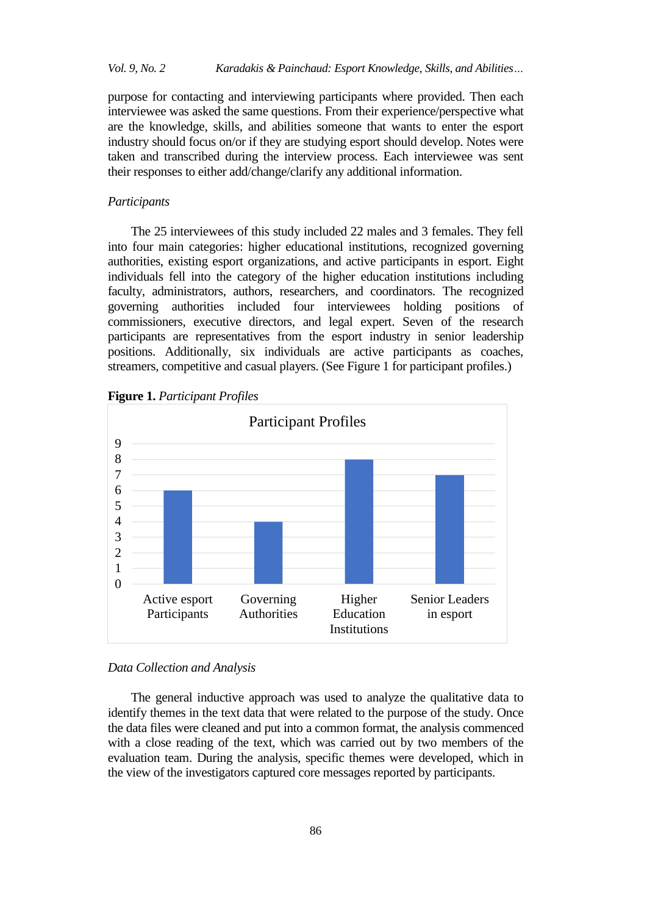## *Vol. 9, No. 2 Karadakis & Painchaud: Esport Knowledge, Skills, and Abilities…*

purpose for contacting and interviewing participants where provided. Then each interviewee was asked the same questions. From their experience/perspective what are the knowledge, skills, and abilities someone that wants to enter the esport industry should focus on/or if they are studying esport should develop. Notes were taken and transcribed during the interview process. Each interviewee was sent their responses to either add/change/clarify any additional information.

#### *Participants*

The 25 interviewees of this study included 22 males and 3 females. They fell into four main categories: higher educational institutions, recognized governing authorities, existing esport organizations, and active participants in esport. Eight individuals fell into the category of the higher education institutions including faculty, administrators, authors, researchers, and coordinators. The recognized governing authorities included four interviewees holding positions of commissioners, executive directors, and legal expert. Seven of the research participants are representatives from the esport industry in senior leadership positions. Additionally, six individuals are active participants as coaches, streamers, competitive and casual players. (See Figure 1 for participant profiles.)



Governing Authorities

**Figure 1.** *Participant Profiles*

#### *Data Collection and Analysis*

Active esport Participants

 $\theta$ 1 2

The general inductive approach was used to analyze the qualitative data to identify themes in the text data that were related to the purpose of the study. Once the data files were cleaned and put into a common format, the analysis commenced with a close reading of the text, which was carried out by two members of the evaluation team. During the analysis, specific themes were developed, which in the view of the investigators captured core messages reported by participants.

Higher **Education Institutions**  Senior Leaders in esport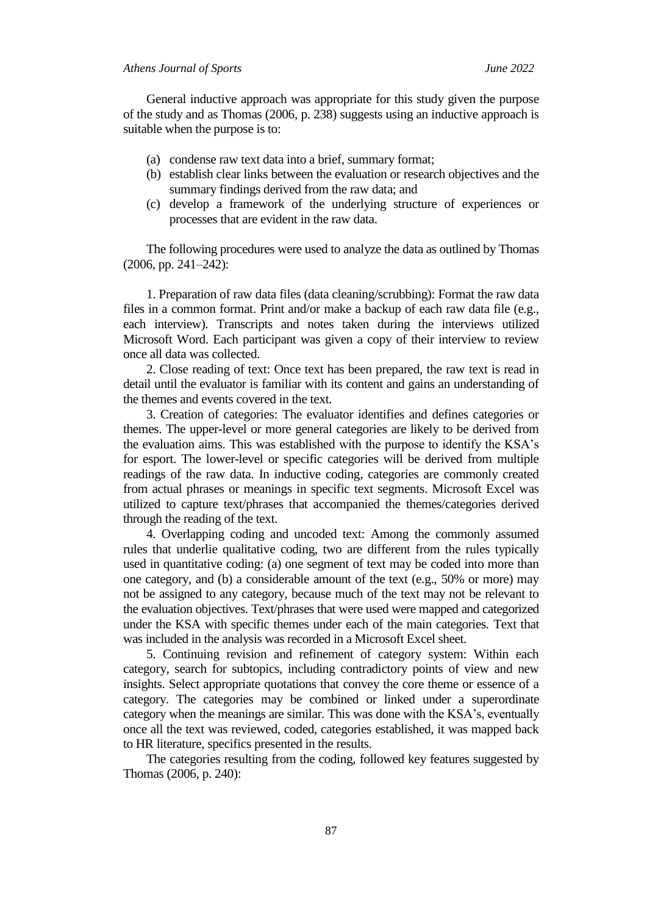### *Athens Journal of Sports June 2022*

General inductive approach was appropriate for this study given the purpose of the study and as Thomas (2006, p. 238) suggests using an inductive approach is suitable when the purpose is to:

- (a) condense raw text data into a brief, summary format;
- (b) establish clear links between the evaluation or research objectives and the summary findings derived from the raw data; and
- (c) develop a framework of the underlying structure of experiences or processes that are evident in the raw data.

The following procedures were used to analyze the data as outlined by Thomas (2006, pp. 241–242):

1. Preparation of raw data files (data cleaning/scrubbing): Format the raw data files in a common format. Print and/or make a backup of each raw data file (e.g., each interview). Transcripts and notes taken during the interviews utilized Microsoft Word. Each participant was given a copy of their interview to review once all data was collected.

2. Close reading of text: Once text has been prepared, the raw text is read in detail until the evaluator is familiar with its content and gains an understanding of the themes and events covered in the text.

3. Creation of categories: The evaluator identifies and defines categories or themes. The upper-level or more general categories are likely to be derived from the evaluation aims. This was established with the purpose to identify the KSA's for esport. The lower-level or specific categories will be derived from multiple readings of the raw data. In inductive coding, categories are commonly created from actual phrases or meanings in specific text segments. Microsoft Excel was utilized to capture text/phrases that accompanied the themes/categories derived through the reading of the text.

4. Overlapping coding and uncoded text: Among the commonly assumed rules that underlie qualitative coding, two are different from the rules typically used in quantitative coding: (a) one segment of text may be coded into more than one category, and (b) a considerable amount of the text (e.g., 50% or more) may not be assigned to any category, because much of the text may not be relevant to the evaluation objectives. Text/phrases that were used were mapped and categorized under the KSA with specific themes under each of the main categories. Text that was included in the analysis was recorded in a Microsoft Excel sheet.

5. Continuing revision and refinement of category system: Within each category, search for subtopics, including contradictory points of view and new insights. Select appropriate quotations that convey the core theme or essence of a category. The categories may be combined or linked under a superordinate category when the meanings are similar. This was done with the KSA's, eventually once all the text was reviewed, coded, categories established, it was mapped back to HR literature, specifics presented in the results.

The categories resulting from the coding, followed key features suggested by Thomas (2006, p. 240):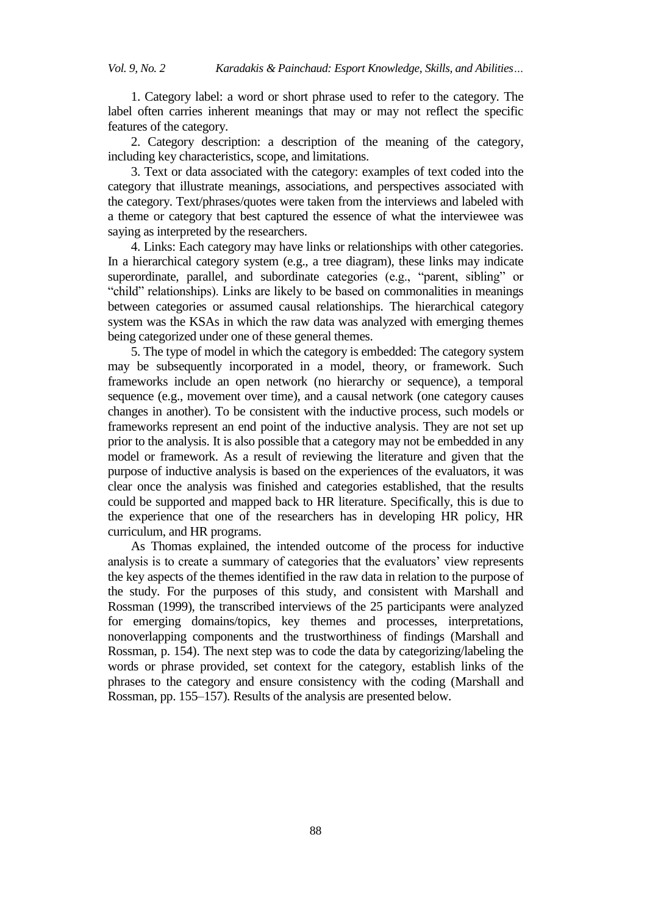1. Category label: a word or short phrase used to refer to the category. The label often carries inherent meanings that may or may not reflect the specific features of the category.

2. Category description: a description of the meaning of the category, including key characteristics, scope, and limitations.

3. Text or data associated with the category: examples of text coded into the category that illustrate meanings, associations, and perspectives associated with the category. Text/phrases/quotes were taken from the interviews and labeled with a theme or category that best captured the essence of what the interviewee was saying as interpreted by the researchers.

4. Links: Each category may have links or relationships with other categories. In a hierarchical category system (e.g., a tree diagram), these links may indicate superordinate, parallel, and subordinate categories (e.g., "parent, sibling" or "child" relationships). Links are likely to be based on commonalities in meanings between categories or assumed causal relationships. The hierarchical category system was the KSAs in which the raw data was analyzed with emerging themes being categorized under one of these general themes.

5. The type of model in which the category is embedded: The category system may be subsequently incorporated in a model, theory, or framework. Such frameworks include an open network (no hierarchy or sequence), a temporal sequence (e.g., movement over time), and a causal network (one category causes changes in another). To be consistent with the inductive process, such models or frameworks represent an end point of the inductive analysis. They are not set up prior to the analysis. It is also possible that a category may not be embedded in any model or framework. As a result of reviewing the literature and given that the purpose of inductive analysis is based on the experiences of the evaluators, it was clear once the analysis was finished and categories established, that the results could be supported and mapped back to HR literature. Specifically, this is due to the experience that one of the researchers has in developing HR policy, HR curriculum, and HR programs.

As Thomas explained, the intended outcome of the process for inductive analysis is to create a summary of categories that the evaluators' view represents the key aspects of the themes identified in the raw data in relation to the purpose of the study. For the purposes of this study, and consistent with Marshall and Rossman (1999), the transcribed interviews of the 25 participants were analyzed for emerging domains/topics, key themes and processes, interpretations, nonoverlapping components and the trustworthiness of findings (Marshall and Rossman, p. 154). The next step was to code the data by categorizing/labeling the words or phrase provided, set context for the category, establish links of the phrases to the category and ensure consistency with the coding (Marshall and Rossman, pp. 155–157). Results of the analysis are presented below.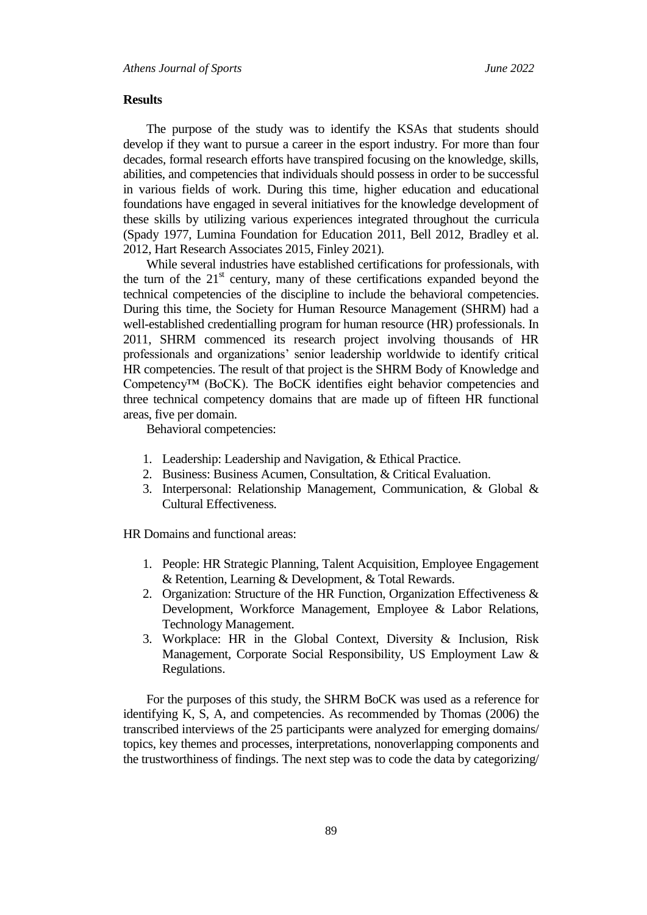#### **Results**

The purpose of the study was to identify the KSAs that students should develop if they want to pursue a career in the esport industry. For more than four decades, formal research efforts have transpired focusing on the knowledge, skills, abilities, and competencies that individuals should possess in order to be successful in various fields of work. During this time, higher education and educational foundations have engaged in several initiatives for the knowledge development of these skills by utilizing various experiences integrated throughout the curricula (Spady 1977, Lumina Foundation for Education 2011, Bell 2012, Bradley et al. 2012, Hart Research Associates 2015, Finley 2021).

While several industries have established certifications for professionals, with the turn of the  $21<sup>st</sup>$  century, many of these certifications expanded beyond the technical competencies of the discipline to include the behavioral competencies. During this time, the Society for Human Resource Management (SHRM) had a well-established credentialling program for human resource (HR) professionals. In 2011, SHRM commenced its research project involving thousands of HR professionals and organizations' senior leadership worldwide to identify critical HR competencies. The result of that project is the SHRM Body of Knowledge and Competency<sup>™</sup> (BoCK). The BoCK identifies eight behavior competencies and three technical competency domains that are made up of fifteen HR functional areas, five per domain.

Behavioral competencies:

- 1. Leadership: Leadership and Navigation, & Ethical Practice.
- 2. Business: Business Acumen, Consultation, & Critical Evaluation.
- 3. Interpersonal: Relationship Management, Communication, & Global & Cultural Effectiveness.

HR Domains and functional areas:

- 1. People: HR Strategic Planning, Talent Acquisition, Employee Engagement & Retention, Learning & Development, & Total Rewards.
- 2. Organization: Structure of the HR Function, Organization Effectiveness  $\&$ Development, Workforce Management, Employee & Labor Relations, Technology Management.
- 3. Workplace: HR in the Global Context, Diversity & Inclusion, Risk Management, Corporate Social Responsibility, US Employment Law & Regulations.

For the purposes of this study, the SHRM BoCK was used as a reference for identifying K, S, A, and competencies. As recommended by Thomas (2006) the transcribed interviews of the 25 participants were analyzed for emerging domains/ topics, key themes and processes, interpretations, nonoverlapping components and the trustworthiness of findings. The next step was to code the data by categorizing/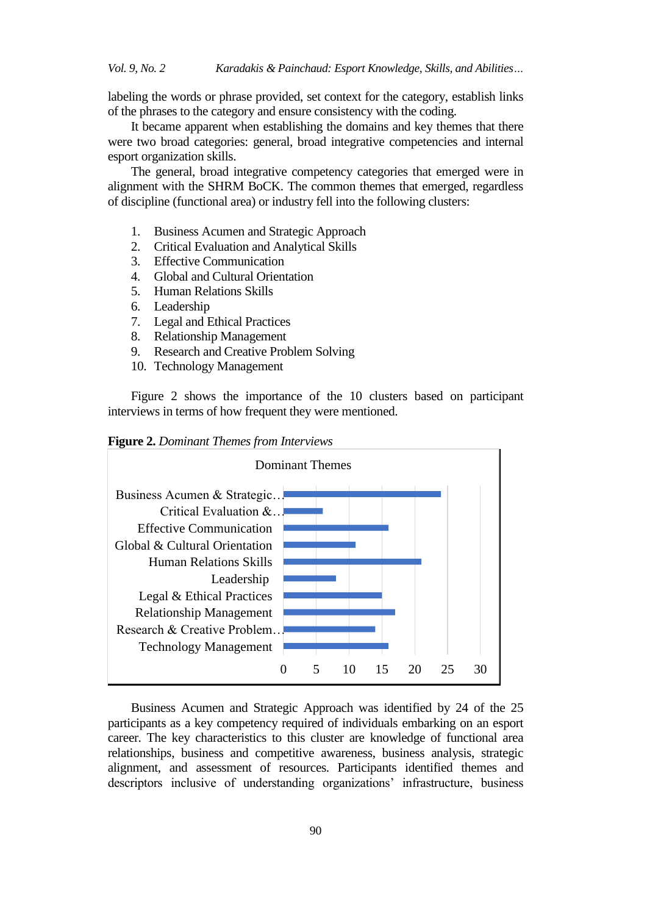labeling the words or phrase provided, set context for the category, establish links of the phrases to the category and ensure consistency with the coding.

It became apparent when establishing the domains and key themes that there were two broad categories: general, broad integrative competencies and internal esport organization skills.

The general, broad integrative competency categories that emerged were in alignment with the SHRM BoCK. The common themes that emerged, regardless of discipline (functional area) or industry fell into the following clusters:

- 1. Business Acumen and Strategic Approach
- 2. Critical Evaluation and Analytical Skills
- 3. Effective Communication
- 4. Global and Cultural Orientation
- 5. Human Relations Skills
- 6. Leadership
- 7. Legal and Ethical Practices
- 8. Relationship Management
- 9. Research and Creative Problem Solving
- 10. Technology Management

Figure 2 shows the importance of the 10 clusters based on participant interviews in terms of how frequent they were mentioned.

**Figure 2.** *Dominant Themes from Interviews*



Business Acumen and Strategic Approach was identified by 24 of the 25 participants as a key competency required of individuals embarking on an esport career. The key characteristics to this cluster are knowledge of functional area relationships, business and competitive awareness, business analysis, strategic alignment, and assessment of resources. Participants identified themes and descriptors inclusive of understanding organizations' infrastructure, business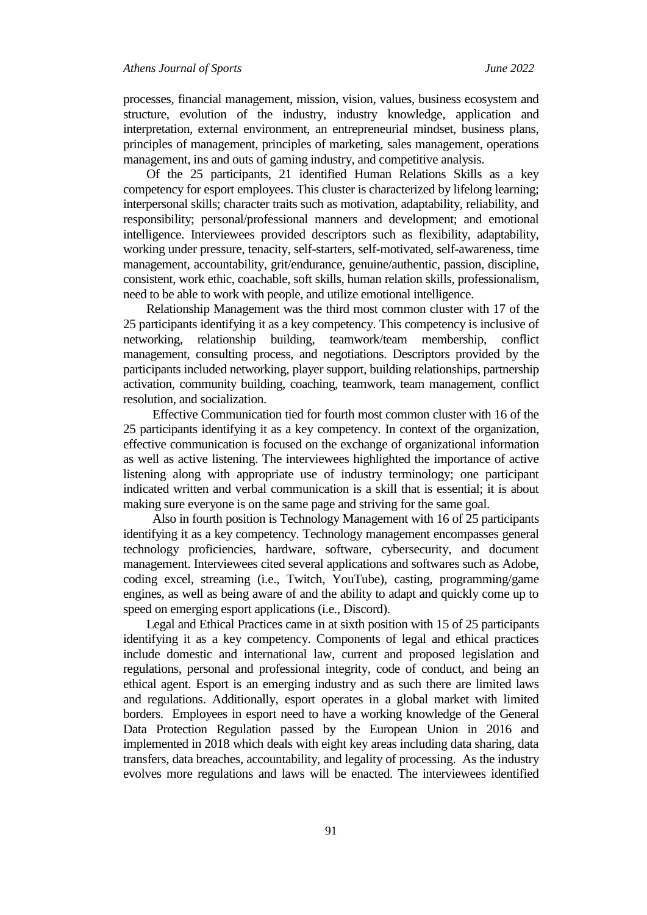processes, financial management, mission, vision, values, business ecosystem and structure, evolution of the industry, industry knowledge, application and interpretation, external environment, an entrepreneurial mindset, business plans, principles of management, principles of marketing, sales management, operations management, ins and outs of gaming industry, and competitive analysis.

Of the 25 participants, 21 identified Human Relations Skills as a key competency for esport employees. This cluster is characterized by lifelong learning; interpersonal skills; character traits such as motivation, adaptability, reliability, and responsibility; personal/professional manners and development; and emotional intelligence. Interviewees provided descriptors such as flexibility, adaptability, working under pressure, tenacity, self-starters, self-motivated, self-awareness, time management, accountability, grit/endurance, genuine/authentic, passion, discipline, consistent, work ethic, coachable, soft skills, human relation skills, professionalism, need to be able to work with people, and utilize emotional intelligence.

Relationship Management was the third most common cluster with 17 of the 25 participants identifying it as a key competency. This competency is inclusive of networking, relationship building, teamwork/team membership, conflict management, consulting process, and negotiations. Descriptors provided by the participants included networking, player support, building relationships, partnership activation, community building, coaching, teamwork, team management, conflict resolution, and socialization.

Effective Communication tied for fourth most common cluster with 16 of the 25 participants identifying it as a key competency. In context of the organization, effective communication is focused on the exchange of organizational information as well as active listening. The interviewees highlighted the importance of active listening along with appropriate use of industry terminology; one participant indicated written and verbal communication is a skill that is essential; it is about making sure everyone is on the same page and striving for the same goal.

Also in fourth position is Technology Management with 16 of 25 participants identifying it as a key competency. Technology management encompasses general technology proficiencies, hardware, software, cybersecurity, and document management. Interviewees cited several applications and softwares such as Adobe, coding excel, streaming (i.e., Twitch, YouTube), casting, programming/game engines, as well as being aware of and the ability to adapt and quickly come up to speed on emerging esport applications (i.e., Discord).

Legal and Ethical Practices came in at sixth position with 15 of 25 participants identifying it as a key competency. Components of legal and ethical practices include domestic and international law, current and proposed legislation and regulations, personal and professional integrity, code of conduct, and being an ethical agent. Esport is an emerging industry and as such there are limited laws and regulations. Additionally, esport operates in a global market with limited borders. Employees in esport need to have a working knowledge of the General Data Protection Regulation passed by the European Union in 2016 and implemented in 2018 which deals with eight key areas including data sharing, data transfers, data breaches, accountability, and legality of processing. As the industry evolves more regulations and laws will be enacted. The interviewees identified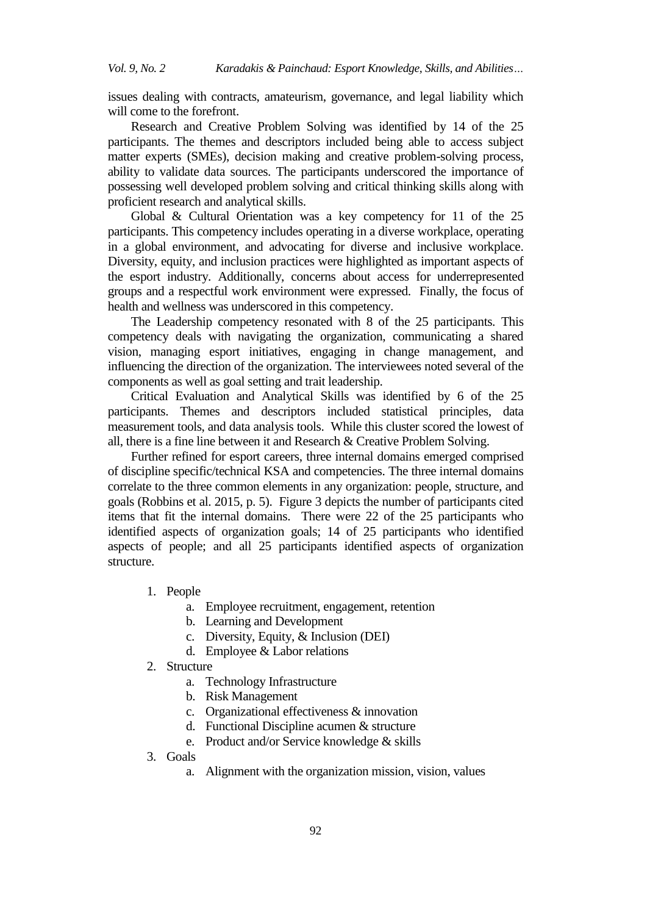issues dealing with contracts, amateurism, governance, and legal liability which will come to the forefront.

Research and Creative Problem Solving was identified by 14 of the 25 participants. The themes and descriptors included being able to access subject matter experts (SMEs), decision making and creative problem-solving process, ability to validate data sources. The participants underscored the importance of possessing well developed problem solving and critical thinking skills along with proficient research and analytical skills.

Global & Cultural Orientation was a key competency for 11 of the 25 participants. This competency includes operating in a diverse workplace, operating in a global environment, and advocating for diverse and inclusive workplace. Diversity, equity, and inclusion practices were highlighted as important aspects of the esport industry. Additionally, concerns about access for underrepresented groups and a respectful work environment were expressed. Finally, the focus of health and wellness was underscored in this competency.

The Leadership competency resonated with 8 of the 25 participants. This competency deals with navigating the organization, communicating a shared vision, managing esport initiatives, engaging in change management, and influencing the direction of the organization. The interviewees noted several of the components as well as goal setting and trait leadership.

Critical Evaluation and Analytical Skills was identified by 6 of the 25 participants. Themes and descriptors included statistical principles, data measurement tools, and data analysis tools. While this cluster scored the lowest of all, there is a fine line between it and Research & Creative Problem Solving.

Further refined for esport careers, three internal domains emerged comprised of discipline specific/technical KSA and competencies. The three internal domains correlate to the three common elements in any organization: people, structure, and goals (Robbins et al. 2015, p. 5). Figure 3 depicts the number of participants cited items that fit the internal domains. There were 22 of the 25 participants who identified aspects of organization goals; 14 of 25 participants who identified aspects of people; and all 25 participants identified aspects of organization structure.

- 1. People
	- a. Employee recruitment, engagement, retention
	- b. Learning and Development
	- c. Diversity, Equity, & Inclusion (DEI)
	- d. Employee & Labor relations
- 2. Structure
	- a. Technology Infrastructure
	- b. Risk Management
	- c. Organizational effectiveness & innovation
	- d. Functional Discipline acumen & structure
	- e. Product and/or Service knowledge & skills
- 3. Goals
	- a. Alignment with the organization mission, vision, values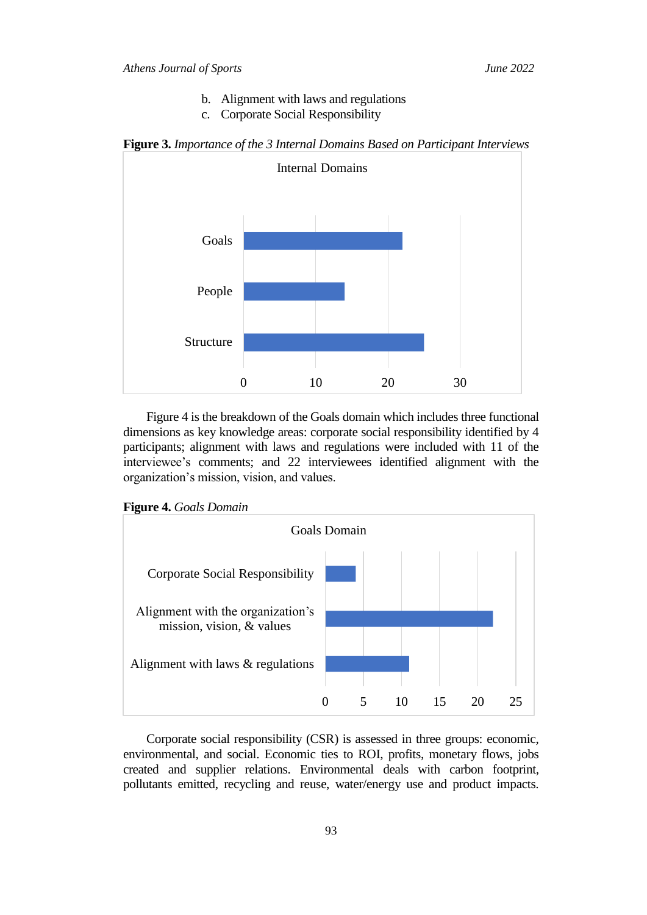- b. Alignment with laws and regulations
- c. Corporate Social Responsibility





Figure 4 is the breakdown of the Goals domain which includes three functional dimensions as key knowledge areas: corporate social responsibility identified by 4 participants; alignment with laws and regulations were included with 11 of the interviewee's comments; and 22 interviewees identified alignment with the organization's mission, vision, and values.





Corporate social responsibility (CSR) is assessed in three groups: economic, environmental, and social. Economic ties to ROI, profits, monetary flows, jobs created and supplier relations. Environmental deals with carbon footprint, pollutants emitted, recycling and reuse, water/energy use and product impacts.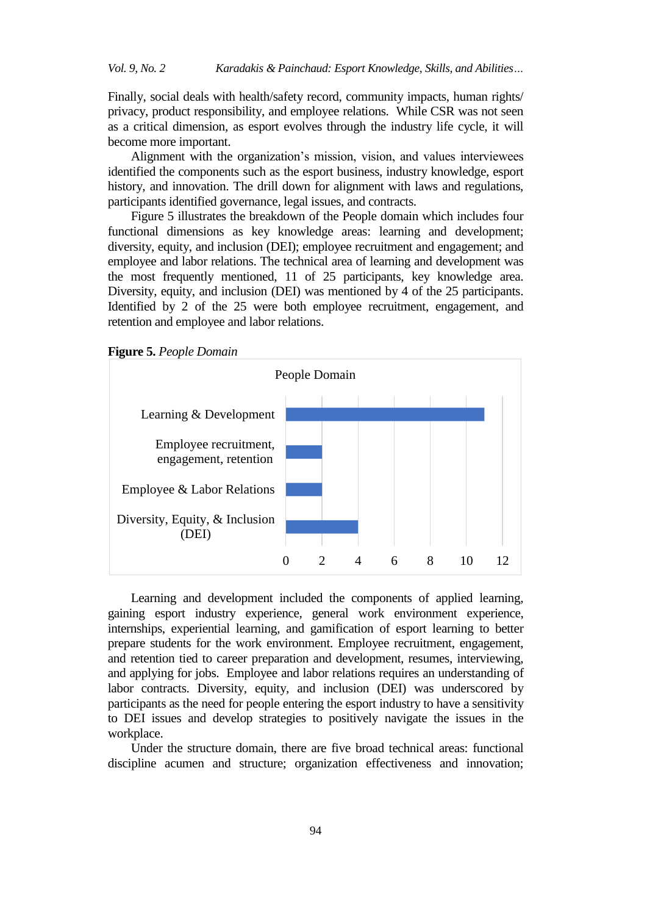Finally, social deals with health/safety record, community impacts, human rights/ privacy, product responsibility, and employee relations. While CSR was not seen as a critical dimension, as esport evolves through the industry life cycle, it will become more important.

Alignment with the organization's mission, vision, and values interviewees identified the components such as the esport business, industry knowledge, esport history, and innovation. The drill down for alignment with laws and regulations, participants identified governance, legal issues, and contracts.

Figure 5 illustrates the breakdown of the People domain which includes four functional dimensions as key knowledge areas: learning and development; diversity, equity, and inclusion (DEI); employee recruitment and engagement; and employee and labor relations. The technical area of learning and development was the most frequently mentioned, 11 of 25 participants, key knowledge area. Diversity, equity, and inclusion (DEI) was mentioned by 4 of the 25 participants. Identified by 2 of the 25 were both employee recruitment, engagement, and retention and employee and labor relations.

**Figure 5.** *People Domain*



Learning and development included the components of applied learning, gaining esport industry experience, general work environment experience, internships, experiential learning, and gamification of esport learning to better prepare students for the work environment. Employee recruitment, engagement, and retention tied to career preparation and development, resumes, interviewing, and applying for jobs. Employee and labor relations requires an understanding of labor contracts. Diversity, equity, and inclusion (DEI) was underscored by participants as the need for people entering the esport industry to have a sensitivity to DEI issues and develop strategies to positively navigate the issues in the workplace.

Under the structure domain, there are five broad technical areas: functional discipline acumen and structure; organization effectiveness and innovation;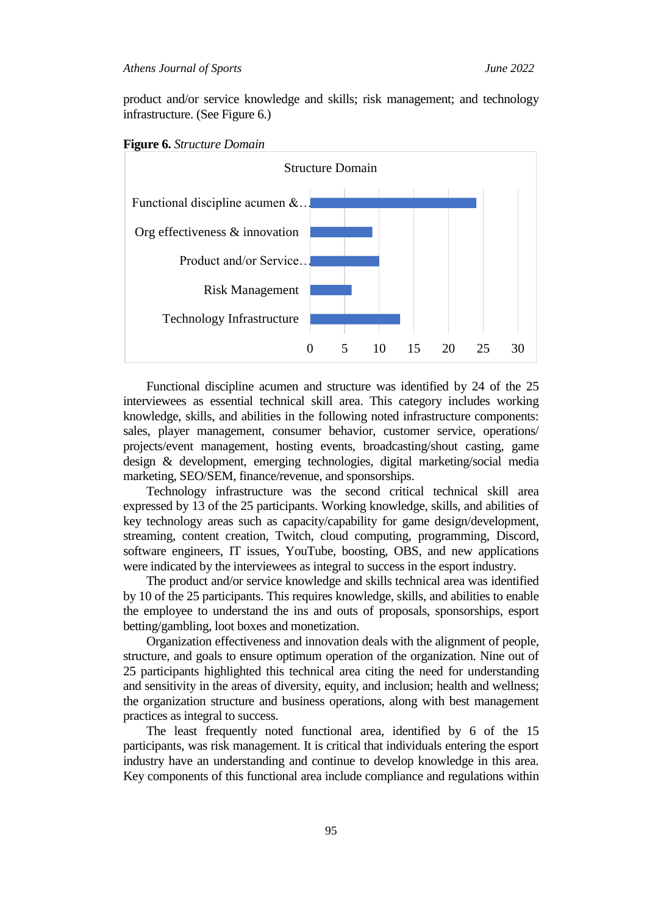product and/or service knowledge and skills; risk management; and technology infrastructure. (See Figure 6.)





Functional discipline acumen and structure was identified by 24 of the 25 interviewees as essential technical skill area. This category includes working knowledge, skills, and abilities in the following noted infrastructure components: sales, player management, consumer behavior, customer service, operations/ projects/event management, hosting events, broadcasting/shout casting, game design & development, emerging technologies, digital marketing/social media marketing, SEO/SEM, finance/revenue, and sponsorships.

Technology infrastructure was the second critical technical skill area expressed by 13 of the 25 participants. Working knowledge, skills, and abilities of key technology areas such as capacity/capability for game design/development, streaming, content creation, Twitch, cloud computing, programming, Discord, software engineers, IT issues, YouTube, boosting, OBS, and new applications were indicated by the interviewees as integral to success in the esport industry.

The product and/or service knowledge and skills technical area was identified by 10 of the 25 participants. This requires knowledge, skills, and abilities to enable the employee to understand the ins and outs of proposals, sponsorships, esport betting/gambling, loot boxes and monetization.

Organization effectiveness and innovation deals with the alignment of people, structure, and goals to ensure optimum operation of the organization. Nine out of 25 participants highlighted this technical area citing the need for understanding and sensitivity in the areas of diversity, equity, and inclusion; health and wellness; the organization structure and business operations, along with best management practices as integral to success.

The least frequently noted functional area, identified by 6 of the 15 participants, was risk management. It is critical that individuals entering the esport industry have an understanding and continue to develop knowledge in this area. Key components of this functional area include compliance and regulations within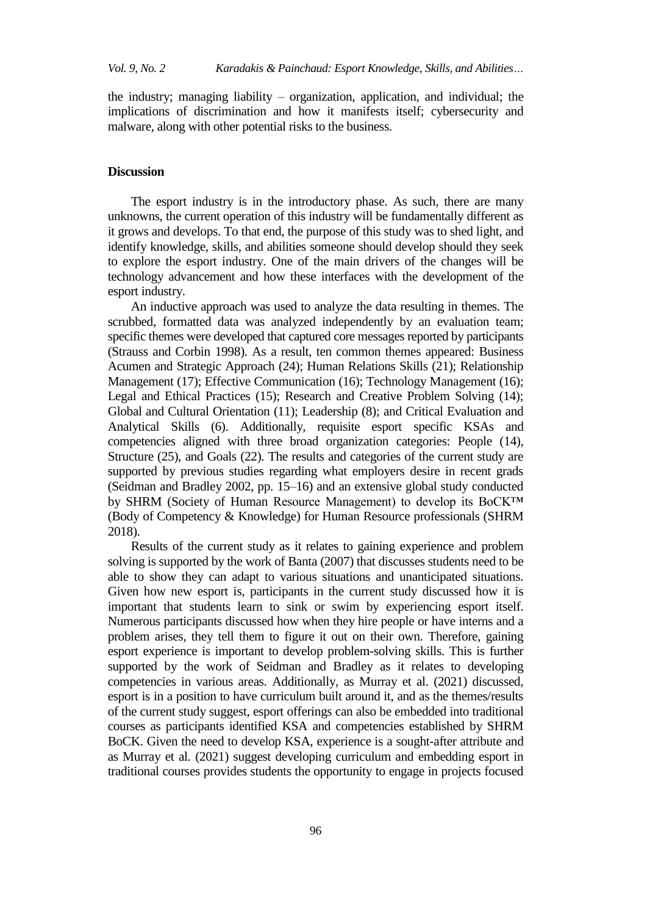the industry; managing liability – organization, application, and individual; the implications of discrimination and how it manifests itself; cybersecurity and malware, along with other potential risks to the business.

## **Discussion**

The esport industry is in the introductory phase. As such, there are many unknowns, the current operation of this industry will be fundamentally different as it grows and develops. To that end, the purpose of this study was to shed light, and identify knowledge, skills, and abilities someone should develop should they seek to explore the esport industry. One of the main drivers of the changes will be technology advancement and how these interfaces with the development of the esport industry.

An inductive approach was used to analyze the data resulting in themes. The scrubbed, formatted data was analyzed independently by an evaluation team; specific themes were developed that captured core messages reported by participants (Strauss and Corbin 1998). As a result, ten common themes appeared: Business Acumen and Strategic Approach (24); Human Relations Skills (21); Relationship Management (17); Effective Communication (16); Technology Management (16); Legal and Ethical Practices (15); Research and Creative Problem Solving (14); Global and Cultural Orientation (11); Leadership (8); and Critical Evaluation and Analytical Skills (6). Additionally, requisite esport specific KSAs and competencies aligned with three broad organization categories: People (14), Structure (25), and Goals (22). The results and categories of the current study are supported by previous studies regarding what employers desire in recent grads (Seidman and Bradley 2002, pp. 15–16) and an extensive global study conducted by SHRM (Society of Human Resource Management) to develop its BoCK™ (Body of Competency & Knowledge) for Human Resource professionals (SHRM 2018).

Results of the current study as it relates to gaining experience and problem solving is supported by the work of Banta (2007) that discusses students need to be able to show they can adapt to various situations and unanticipated situations. Given how new esport is, participants in the current study discussed how it is important that students learn to sink or swim by experiencing esport itself. Numerous participants discussed how when they hire people or have interns and a problem arises, they tell them to figure it out on their own. Therefore, gaining esport experience is important to develop problem-solving skills. This is further supported by the work of Seidman and Bradley as it relates to developing competencies in various areas. Additionally, as Murray et al. (2021) discussed, esport is in a position to have curriculum built around it, and as the themes/results of the current study suggest, esport offerings can also be embedded into traditional courses as participants identified KSA and competencies established by SHRM BoCK. Given the need to develop KSA, experience is a sought-after attribute and as Murray et al. (2021) suggest developing curriculum and embedding esport in traditional courses provides students the opportunity to engage in projects focused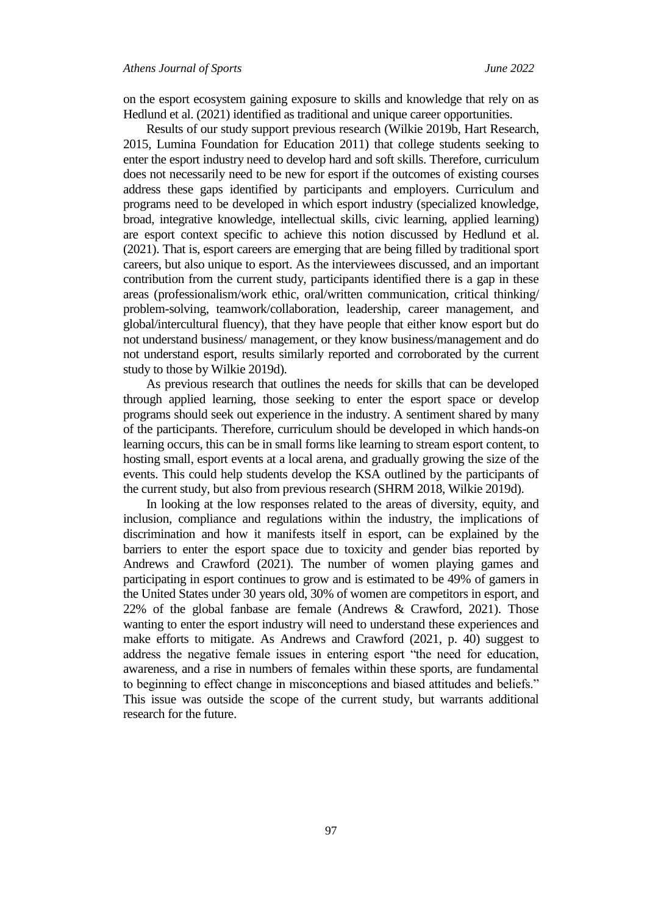on the esport ecosystem gaining exposure to skills and knowledge that rely on as Hedlund et al. (2021) identified as traditional and unique career opportunities.

Results of our study support previous research (Wilkie 2019b, Hart Research, 2015, Lumina Foundation for Education 2011) that college students seeking to enter the esport industry need to develop hard and soft skills. Therefore, curriculum does not necessarily need to be new for esport if the outcomes of existing courses address these gaps identified by participants and employers. Curriculum and programs need to be developed in which esport industry (specialized knowledge, broad, integrative knowledge, intellectual skills, civic learning, applied learning) are esport context specific to achieve this notion discussed by Hedlund et al. (2021). That is, esport careers are emerging that are being filled by traditional sport careers, but also unique to esport. As the interviewees discussed, and an important contribution from the current study, participants identified there is a gap in these areas (professionalism/work ethic, oral/written communication, critical thinking/ problem-solving, teamwork/collaboration, leadership, career management, and global/intercultural fluency), that they have people that either know esport but do not understand business/ management, or they know business/management and do not understand esport, results similarly reported and corroborated by the current study to those by Wilkie 2019d).

As previous research that outlines the needs for skills that can be developed through applied learning, those seeking to enter the esport space or develop programs should seek out experience in the industry. A sentiment shared by many of the participants. Therefore, curriculum should be developed in which hands-on learning occurs, this can be in small forms like learning to stream esport content, to hosting small, esport events at a local arena, and gradually growing the size of the events. This could help students develop the KSA outlined by the participants of the current study, but also from previous research (SHRM 2018, Wilkie 2019d).

In looking at the low responses related to the areas of diversity, equity, and inclusion, compliance and regulations within the industry, the implications of discrimination and how it manifests itself in esport, can be explained by the barriers to enter the esport space due to toxicity and gender bias reported by Andrews and Crawford (2021). The number of women playing games and participating in esport continues to grow and is estimated to be 49% of gamers in the United States under 30 years old, 30% of women are competitors in esport, and 22% of the global fanbase are female (Andrews & Crawford, 2021). Those wanting to enter the esport industry will need to understand these experiences and make efforts to mitigate. As Andrews and Crawford (2021, p. 40) suggest to address the negative female issues in entering esport "the need for education, awareness, and a rise in numbers of females within these sports, are fundamental to beginning to effect change in misconceptions and biased attitudes and beliefs." This issue was outside the scope of the current study, but warrants additional research for the future.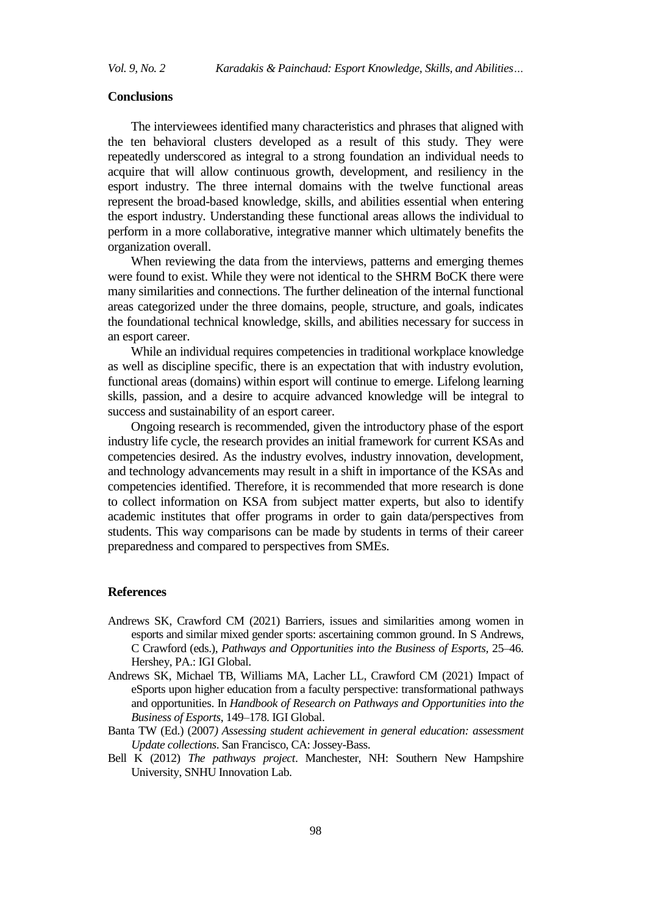#### **Conclusions**

The interviewees identified many characteristics and phrases that aligned with the ten behavioral clusters developed as a result of this study. They were repeatedly underscored as integral to a strong foundation an individual needs to acquire that will allow continuous growth, development, and resiliency in the esport industry. The three internal domains with the twelve functional areas represent the broad-based knowledge, skills, and abilities essential when entering the esport industry. Understanding these functional areas allows the individual to perform in a more collaborative, integrative manner which ultimately benefits the organization overall.

When reviewing the data from the interviews, patterns and emerging themes were found to exist. While they were not identical to the SHRM BoCK there were many similarities and connections. The further delineation of the internal functional areas categorized under the three domains, people, structure, and goals, indicates the foundational technical knowledge, skills, and abilities necessary for success in an esport career.

While an individual requires competencies in traditional workplace knowledge as well as discipline specific, there is an expectation that with industry evolution, functional areas (domains) within esport will continue to emerge. Lifelong learning skills, passion, and a desire to acquire advanced knowledge will be integral to success and sustainability of an esport career.

Ongoing research is recommended, given the introductory phase of the esport industry life cycle, the research provides an initial framework for current KSAs and competencies desired. As the industry evolves, industry innovation, development, and technology advancements may result in a shift in importance of the KSAs and competencies identified. Therefore, it is recommended that more research is done to collect information on KSA from subject matter experts, but also to identify academic institutes that offer programs in order to gain data/perspectives from students. This way comparisons can be made by students in terms of their career preparedness and compared to perspectives from SMEs.

#### **References**

- Andrews SK, Crawford CM (2021) Barriers, issues and similarities among women in esports and similar mixed gender sports: ascertaining common ground. In S Andrews, C Crawford (eds.), *Pathways and Opportunities into the Business of Esports,* 25–46. Hershey, PA.: IGI Global.
- Andrews SK, Michael TB, Williams MA, Lacher LL, Crawford CM (2021) Impact of eSports upon higher education from a faculty perspective: transformational pathways and opportunities. In *Handbook of Research on Pathways and Opportunities into the Business of Esports*, 149–178. IGI Global.
- Banta TW (Ed.) (2007*) Assessing student achievement in general education: assessment Update collections*. San Francisco, CA: Jossey-Bass.
- Bell K (2012) *The pathways project*. Manchester, NH: Southern New Hampshire University, SNHU Innovation Lab.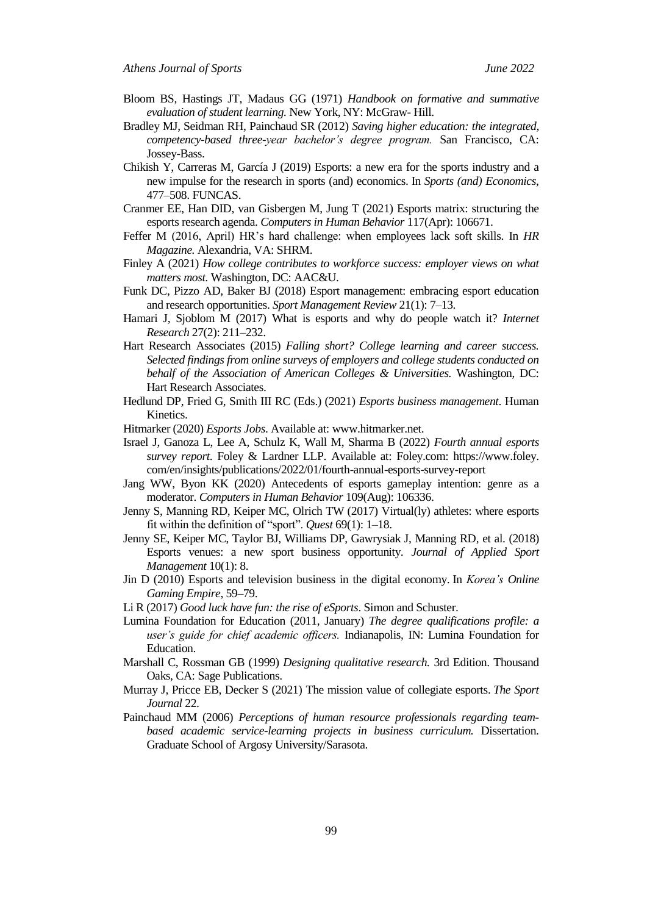- Bloom BS, Hastings JT, Madaus GG (1971) *Handbook on formative and summative evaluation of student learning.* New York, NY: McGraw- Hill.
- Bradley MJ, Seidman RH, Painchaud SR (2012) *Saving higher education: the integrated, competency-based three-year bachelor's degree program.* San Francisco, CA: Jossey-Bass.
- Chikish Y, Carreras M, García J (2019) Esports: a new era for the sports industry and a new impulse for the research in sports (and) economics. In *Sports (and) Economics*, 477–508. FUNCAS.
- Cranmer EE, Han DID, van Gisbergen M, Jung T (2021) Esports matrix: structuring the esports research agenda. *Computers in Human Behavior* 117(Apr): 106671.
- Feffer M (2016, April) HR's hard challenge: when employees lack soft skills. In *HR Magazine.* Alexandria, VA: SHRM.
- Finley A (2021) *How college contributes to workforce success: employer views on what matters most.* Washington, DC: AAC&U.
- Funk DC, Pizzo AD, Baker BJ (2018) Esport management: embracing esport education and research opportunities. *Sport Management Review* 21(1): 7–13.
- Hamari J, Sjoblom M (2017) What is esports and why do people watch it? *Internet Research* 27(2): 211–232.
- Hart Research Associates (2015) *Falling short? College learning and career success. Selected findings from online surveys of employers and college students conducted on behalf of the Association of American Colleges & Universities.* Washington, DC: Hart Research Associates.
- Hedlund DP, Fried G, Smith III RC (Eds.) (2021) *Esports business management*. Human Kinetics.
- Hitmarker (2020) *Esports Jobs*. Available at[: www.hitmarker.net.](about:blank)
- Israel J, Ganoza L, Lee A, Schulz K, Wall M, Sharma B (2022) *Fourth annual esports survey report*. Foley & Lardner LLP. Available at: Foley.com: https://www.foley. com/en/insights/publications/2022/01/fourth-annual-esports-survey-report
- Jang WW, Byon KK (2020) Antecedents of esports gameplay intention: genre as a moderator. *Computers in Human Behavior* 109(Aug): 106336.
- Jenny S, Manning RD, Keiper MC, Olrich TW (2017) Virtual(ly) athletes: where esports fit within the definition of "sport". *Quest* 69(1): 1–18.
- Jenny SE, Keiper MC, Taylor BJ, Williams DP, Gawrysiak J, Manning RD, et al. (2018) Esports venues: a new sport business opportunity. *Journal of Applied Sport Management* 10(1): 8.
- Jin D (2010) Esports and television business in the digital economy. In *Korea's Online Gaming Empire*, 59–79.
- Li R (2017) *Good luck have fun: the rise of eSports*. Simon and Schuster.
- Lumina Foundation for Education (2011, January) *The degree qualifications profile: a user's guide for chief academic officers.* Indianapolis, IN: Lumina Foundation for Education.
- Marshall C, Rossman GB (1999) *Designing qualitative research.* 3rd Edition. Thousand Oaks, CA: Sage Publications.
- Murray J, Pricce EB, Decker S (2021) The mission value of collegiate esports. *The Sport Journal* 22.
- Painchaud MM (2006) *Perceptions of human resource professionals regarding teambased academic service-learning projects in business curriculum.* Dissertation. Graduate School of Argosy University/Sarasota.